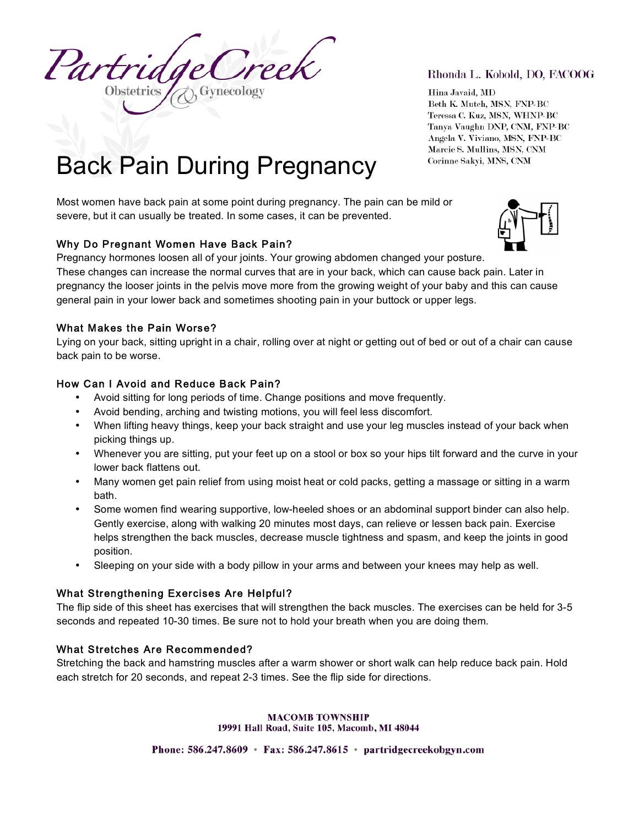

# Rhonda L. Kobold, DO, FACOOG

Hina Javaid, MD Beth K. Mutch, MSN, FNP-BC Teressa C. Kuz, MSN, WHNP-BC Tanya Vaughn DNP, CNM, FNP-BC Angela V. Viviano, MSN, FNP-BC Marcie S. Mullins, MSN, CNM Corinne Sakyi, MNS, CNM

# Back Pain During Pregnancy

Most women have back pain at some point during pregnancy. The pain can be mild or severe, but it can usually be treated. In some cases, it can be prevented.

## Why Do Pregnant Women Have Back Pain?

Pregnancy hormones loosen all of your joints. Your growing abdomen changed your posture. These changes can increase the normal curves that are in your back, which can cause back pain. Later in pregnancy the looser joints in the pelvis move more from the growing weight of your baby and this can cause general pain in your lower back and sometimes shooting pain in your buttock or upper legs.

## What Makes the Pain Worse?

Lying on your back, sitting upright in a chair, rolling over at night or getting out of bed or out of a chair can cause back pain to be worse.

# How Can I Avoid and Reduce Back Pain?

- Avoid sitting for long periods of time. Change positions and move frequently.
- Avoid bending, arching and twisting motions, you will feel less discomfort.
- When lifting heavy things, keep your back straight and use your leg muscles instead of your back when picking things up.
- Whenever you are sitting, put your feet up on a stool or box so your hips tilt forward and the curve in your lower back flattens out.
- Many women get pain relief from using moist heat or cold packs, getting a massage or sitting in a warm bath.
- Some women find wearing supportive, low-heeled shoes or an abdominal support binder can also help. Gently exercise, along with walking 20 minutes most days, can relieve or lessen back pain. Exercise helps strengthen the back muscles, decrease muscle tightness and spasm, and keep the joints in good position.
- Sleeping on your side with a body pillow in your arms and between your knees may help as well.

# What Strengthening Exercises Are Helpful?

The flip side of this sheet has exercises that will strengthen the back muscles. The exercises can be held for 3-5 seconds and repeated 10-30 times. Be sure not to hold your breath when you are doing them.

## What Stretches Are Recommended?

Stretching the back and hamstring muscles after a warm shower or short walk can help reduce back pain. Hold each stretch for 20 seconds, and repeat 2-3 times. See the flip side for directions.

> **MACOMB TOWNSHIP** 19991 Hall Road, Suite 105, Macomb, MI 48044

Phone: 586.247.8609 • Fax: 586.247.8615 • partridgecreekobgyn.com